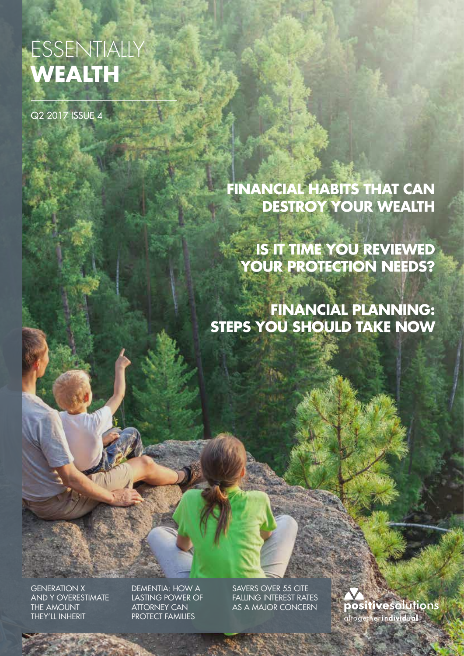# ESSENTIALLY **WEALTH**

Q2 2017 ISSUE 4

# **FINANCIAL HABITS THAT CAN DESTROY YOUR WEALTH**

**IS IT TIME YOU REVIEWED YOUR PROTECTION NEEDS?**

**FINANCIAL PLANNING: STEPS YOU SHOULD TAKE NOW** 

GENERATION X AND Y OVERESTIMATE THE AMOUNT THEY'LL INHERIT

DEMENTIA: HOW A LASTING POWER OF ATTORNEY CAN PROTECT FAMILIES

SAVERS OVER 55 CITE FALLING INTEREST RATES AS A MAJOR CONCERN

**positive**solutions •<br>altogether **individual**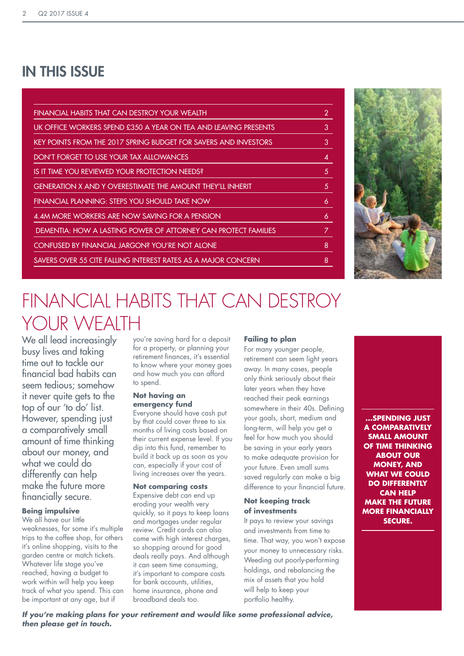# IN THIS ISSUE

| FINANCIAL HABITS THAT CAN DESTROY YOUR WEALTH                   | $\overline{2}$ |
|-----------------------------------------------------------------|----------------|
| UK OFFICE WORKERS SPEND £350 A YEAR ON TEA AND LEAVING PRESENTS | 3              |
| KEY POINTS FROM THE 2017 SPRING BUDGET FOR SAVERS AND INVESTORS | 3              |
| DON'T FORGET TO USE YOUR TAX ALLOWANCES                         | 4              |
| IS IT TIME YOU REVIEWED YOUR PROTECTION NEEDS?                  | 5.             |
| GENERATION X AND Y OVERESTIMATE THE AMOUNT THEY'LL INHERIT      | 5              |
| FINANCIAL PLANNING: STEPS YOU SHOULD TAKE NOW                   | 6              |
| 4.4M MORE WORKERS ARE NOW SAVING FOR A PENSION                  | 6              |
| DEMENTIA: HOW A LASTING POWER OF ATTORNEY CAN PROTECT FAMILIES  |                |
| CONFUSED BY FINANCIAL JARGON? YOU'RE NOT ALONE                  | 8              |
| SAVERS OVER 55 CITE FALLING INTEREST RATES AS A MAJOR CONCERN   | 8              |



# FINANCIAL HABITS THAT CAN DESTROY YOUR WFAITH

We all lead increasingly busy lives and taking time out to tackle our financial bad habits can seem tedious; somehow it never quite gets to the top of our 'to do' list. However, spending just a comparatively small amount of time thinking about our money, and what we could do differently can help make the future more financially secure.

### **Being impulsive**

We all have our little weaknesses, for some it's multiple trips to the coffee shop, for others it's online shopping, visits to the garden centre or match tickets. Whatever life stage you've reached, having a budget to work within will help you keep track of what you spend. This can be important at any age, but if

you're saving hard for a deposit for a property, or planning your retirement finances, it's essential to know where your money goes and how much you can afford to spend.

#### **Not having an emergency fund**

Everyone should have cash put by that could cover three to six months of living costs based on their current expense level. If you dip into this fund, remember to build it back up as soon as you can, especially if your cost of living increases over the years.

#### **Not comparing costs**

Expensive debt can end up eroding your wealth very quickly, so it pays to keep loans and mortgages under regular review. Credit cards can also come with high interest charges, so shopping around for good deals really pays. And although it can seem time consuming, it's important to compare costs for bank accounts, utilities, home insurance, phone and broadband deals too.

#### **Failing to plan**

For many younger people, retirement can seem light years away. In many cases, people only think seriously about their later years when they have reached their peak earnings somewhere in their 40s. Defining your goals, short, medium and long-term, will help you get a feel for how much you should be saving in your early years to make adequate provision for your future. Even small sums saved regularly can make a big difference to your financial future.

### **Not keeping track of investments**

It pays to review your savings and investments from time to time. That way, you won't expose your money to unnecessary risks. Weeding out poorly-performing holdings, and rebalancing the mix of assets that you hold will help to keep your portfolio healthy.

**...SPENDING JUST A COMPARATIVELY SMALL AMOUNT OF TIME THINKING ABOUT OUR MONEY, AND WHAT WE COULD DO DIFFERENTLY CAN HELP MAKE THE FUTURE MORE FINANCIALLY SECURE.**

*If you're making plans for your retirement and would like some professional advice, then please get in touch.*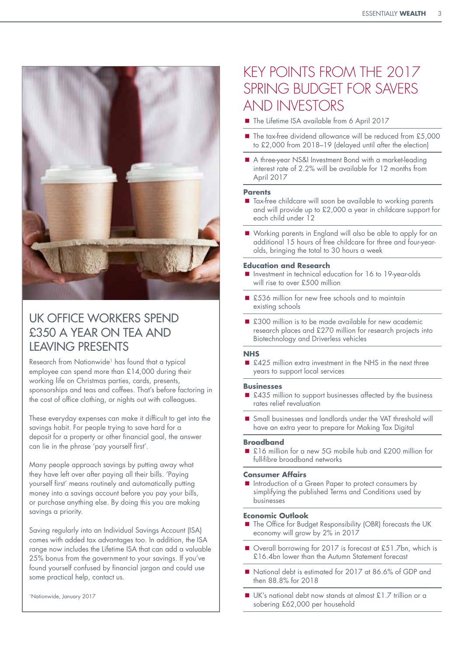

# UK OFFICE WORKERS SPEND £350 A YEAR ON TEA AND LEAVING PRESENTS

Research from Nationwide<sup>1</sup> has found that a typical employee can spend more than £14,000 during their working life on Christmas parties, cards, presents, sponsorships and teas and coffees. That's before factoring in the cost of office clothing, or nights out with colleagues.

These everyday expenses can make it difficult to get into the savings habit. For people trying to save hard for a deposit for a property or other financial goal, the answer can lie in the phrase 'pay yourself first'.

Many people approach savings by putting away what they have left over after paying all their bills. 'Paying yourself first' means routinely and automatically putting money into a savings account before you pay your bills, or purchase anything else. By doing this you are making savings a priority.

Saving regularly into an Individual Savings Account (ISA) comes with added tax advantages too. In addition, the ISA range now includes the Lifetime ISA that can add a valuable 25% bonus from the government to your savings. If you've found yourself confused by financial jargon and could use some practical help, contact us.

# KEY POINTS FROM THE 2017 SPRING BUDGET FOR SAVERS AND INVESTORS

- The Lifetime ISA available from 6 April 2017
- The tax-free dividend allowance will be reduced from £5,000 to £2,000 from 2018–19 (delayed until after the election)
- A three-year NS&I Investment Bond with a market-leading interest rate of 2.2% will be available for 12 months from April 2017

#### **Parents**

- Tax-free childcare will soon be available to working parents and will provide up to £2,000 a year in childcare support for each child under 12
- Working parents in England will also be able to apply for an additional 15 hours of free childcare for three and four-yearolds, bringing the total to 30 hours a week

#### **Education and Research**

- Investment in technical education for 16 to 19-year-olds will rise to over £500 million
- £536 million for new free schools and to maintain existing schools
- £300 million is to be made available for new academic research places and £270 million for research projects into Biotechnology and Driverless vehicles

#### **NHS**

■ £425 million extra investment in the NHS in the next three years to support local services

#### **Businesses**

- £435 million to support businesses affected by the business rates relief revaluation
- Small businesses and landlords under the VAT threshold will have an extra year to prepare for Making Tax Digital

#### **Broadband**

■ £16 million for a new 5G mobile hub and £200 million for full-fibre broadband networks

#### **Consumer Affairs**

Introduction of a Green Paper to protect consumers by simplifying the published Terms and Conditions used by businesses

### **Economic Outlook**

- The Office for Budget Responsibility (OBR) forecasts the UK economy will grow by 2% in 2017
- Overall borrowing for 2017 is forecast at £51.7bn, which is £16.4bn lower than the Autumn Statement forecast
- National debt is estimated for 2017 at 86.6% of GDP and then 88.8% for 2018
- UK's national debt now stands at almost £1.7 trillion or a sobering £62,000 per household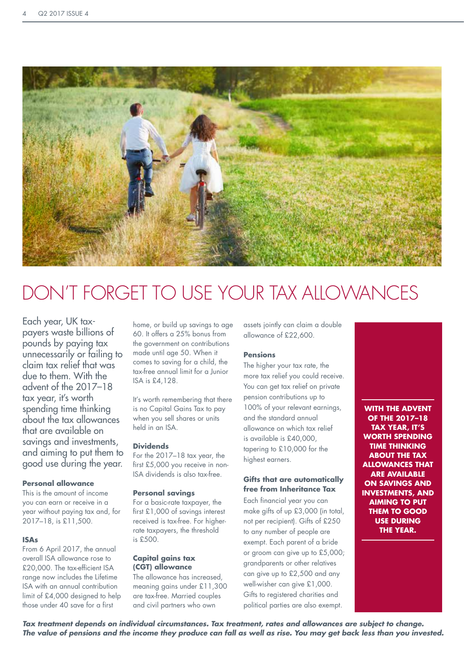

# DON'T FORGET TO USE YOUR TAX ALLOWANCES

Each year, UK taxpayers waste billions of pounds by paying tax unnecessarily or failing to claim tax relief that was due to them. With the advent of the 2017–18 tax year, it's worth spending time thinking about the tax allowances that are available on savings and investments, and aiming to put them to good use during the year.

#### **Personal allowance**

This is the amount of income you can earn or receive in a year without paying tax and, for 2017–18, is £11,500.

#### **ISAs**

From 6 April 2017, the annual overall ISA allowance rose to £20,000. The tax-efficient ISA range now includes the Lifetime ISA with an annual contribution limit of £4,000 designed to help those under 40 save for a first

home, or build up savings to age 60. It offers a 25% bonus from the government on contributions made until age 50. When it comes to saving for a child, the tax-free annual limit for a Junior ISA is £4,128.

It's worth remembering that there is no Capital Gains Tax to pay when you sell shares or units held in an ISA.

#### **Dividends**

For the 2017–18 tax year, the first £5,000 you receive in non-ISA dividends is also tax-free.

#### **Personal savings**

For a basic-rate taxpayer, the first £1,000 of savings interest received is tax-free. For higherrate taxpayers, the threshold is £500.

#### **Capital gains tax (CGT) allowance**

The allowance has increased, meaning gains under £11,300 are tax-free. Married couples and civil partners who own

assets jointly can claim a double allowance of £22,600.

## **Pensions**

The higher your tax rate, the more tax relief you could receive. You can get tax relief on private pension contributions up to 100% of your relevant earnings, and the standard annual allowance on which tax relief is available is £40,000, tapering to £10,000 for the highest earners.

### **Gifts that are automatically free from Inheritance Tax**

Each financial year you can make gifts of up £3,000 (in total, not per recipient). Gifts of £250 to any number of people are exempt. Each parent of a bride or groom can give up to £5,000; grandparents or other relatives can give up to £2,500 and any well-wisher can give £1,000. Gifts to registered charities and political parties are also exempt.

**WITH THE ADVENT OF THE 2017–18 TAX YEAR, IT'S WORTH SPENDING TIME THINKING ABOUT THE TAX ALLOWANCES THAT ARE AVAILABLE ON SAVINGS AND INVESTMENTS, AND AIMING TO PUT THEM TO GOOD USE DURING THE YEAR.** 

*Tax treatment depends on individual circumstances. Tax treatment, rates and allowances are subject to change. The value of pensions and the income they produce can fall as well as rise. You may get back less than you invested.*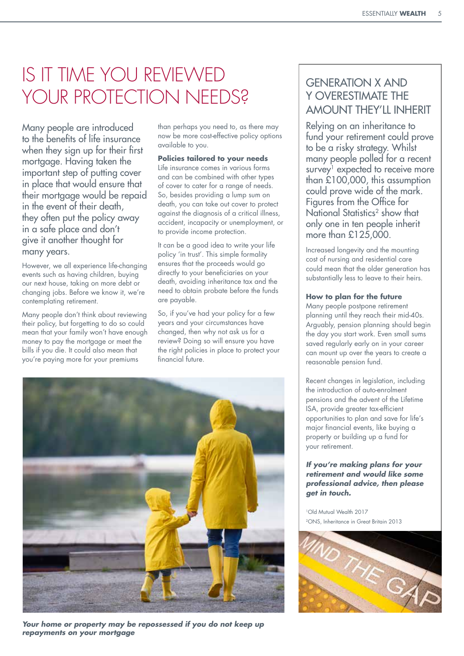# IS IT TIME YOU REVIEWED YOUR PROTECTION NEEDS?

Many people are introduced to the benefits of life insurance when they sign up for their first mortgage. Having taken the important step of putting cover in place that would ensure that their mortgage would be repaid in the event of their death, they often put the policy away in a safe place and don't give it another thought for many years.

However, we all experience life-changing events such as having children, buying our next house, taking on more debt or changing jobs. Before we know it, we're contemplating retirement.

Many people don't think about reviewing their policy, but forgetting to do so could mean that your family won't have enough money to pay the mortgage or meet the bills if you die. It could also mean that you're paying more for your premiums

than perhaps you need to, as there may now be more cost-effective policy options available to you.

## **Policies tailored to your needs**

Life insurance comes in various forms and can be combined with other types of cover to cater for a range of needs. So, besides providing a lump sum on death, you can take out cover to protect against the diagnosis of a critical illness, accident, incapacity or unemployment, or to provide income protection.

It can be a good idea to write your life policy 'in trust'. This simple formality ensures that the proceeds would go directly to your beneficiaries on your death, avoiding inheritance tax and the need to obtain probate before the funds are payable.

So, if you've had your policy for a few years and your circumstances have changed, then why not ask us for a review? Doing so will ensure you have the right policies in place to protect your financial future.



*Your home or property may be repossessed if you do not keep up repayments on your mortgage*

# GENERATION X AND Y OVERESTIMATE THE AMOUNT THEY'LL INHERIT

Relying on an inheritance to fund your retirement could prove to be a risky strategy. Whilst many people polled for a recent survey<sup>1</sup> expected to receive more than £100,000, this assumption could prove wide of the mark. Figures from the Office for National Statistics2 show that only one in ten people inherit more than £125,000.

Increased longevity and the mounting cost of nursing and residential care could mean that the older generation has substantially less to leave to their heirs.

## **How to plan for the future**

Many people postpone retirement planning until they reach their mid-40s. Arguably, pension planning should begin the day you start work. Even small sums saved regularly early on in your career can mount up over the years to create a reasonable pension fund.

Recent changes in legislation, including the introduction of auto-enrolment pensions and the advent of the Lifetime .<br>ISA, provide greater tax-efficient opportunities to plan and save for life's major financial events, like buying a property or building up a fund for your retirement.

### *If you're making plans for your retirement and would like some professional advice, then please get in touch.*

1Old Mutual Wealth 2017 2ONS, Inheritance in Great Britain 2013

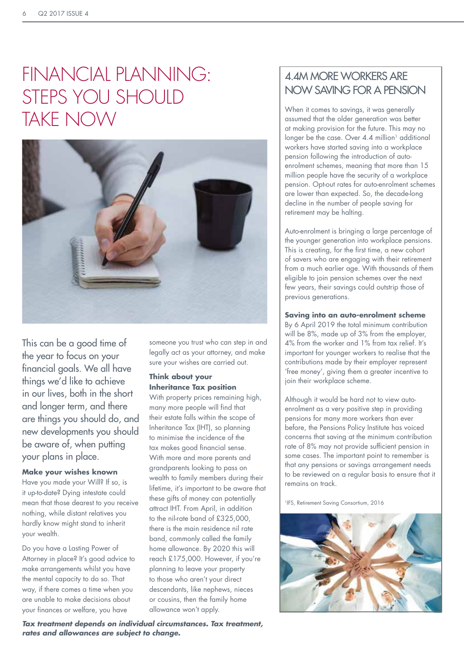# FINANCIAL PLANNING: STEPS YOU SHOULD TAKE NOW



This can be a good time of the year to focus on your financial goals. We all have things we'd like to achieve in our lives, both in the short and longer term, and there are things you should do, and new developments you should be aware of, when putting your plans in place.

## **Make your wishes known**

Have you made your Will? If so, is it up-to-date? Dying intestate could mean that those dearest to you receive nothing, while distant relatives you hardly know might stand to inherit your wealth.

Do you have a Lasting Power of Attorney in place? It's good advice to make arrangements whilst you have the mental capacity to do so. That way, if there comes a time when you are unable to make decisions about your finances or welfare, you have

someone you trust who can step in and legally act as your attorney, and make sure your wishes are carried out.

### **Think about your Inheritance Tax position**

With property prices remaining high, many more people will find that their estate falls within the scope of Inheritance Tax (IHT), so planning to minimise the incidence of the tax makes good financial sense. With more and more parents and grandparents looking to pass on wealth to family members during their lifetime, it's important to be aware that these gifts of money can potentially attract IHT. From April, in addition to the nil-rate band of £325,000, there is the main residence nil rate band, commonly called the family home allowance. By 2020 this will reach £175,000. However, if you're planning to leave your property to those who aren't your direct descendants, like nephews, nieces or cousins, then the family home allowance won't apply.

## 4.4M MORE WORKERS ARE NOW SAVING FOR A PENSION

When it comes to savings, it was generally assumed that the older generation was better at making provision for the future. This may no longer be the case. Over  $4.4$  million<sup>1</sup> additional workers have started saving into a workplace pension following the introduction of autoenrolment schemes, meaning that more than 15 million people have the security of a workplace pension. Opt-out rates for auto-enrolment schemes are lower than expected. So, the decade-long decline in the number of people saving for retirement may be halting.

Auto-enrolment is bringing a large percentage of the younger generation into workplace pensions. This is creating, for the first time, a new cohort of savers who are engaging with their retirement from a much earlier age. With thousands of them eligible to join pension schemes over the next few years, their savings could outstrip those of previous generations.

## **Saving into an auto-enrolment scheme**

By 6 April 2019 the total minimum contribution will be 8%, made up of 3% from the employer, 4% from the worker and 1% from tax relief. It's important for younger workers to realise that the contributions made by their employer represent 'free money', giving them a greater incentive to join their workplace scheme.

Although it would be hard not to view autoenrolment as a very positive step in providing pensions for many more workers than ever before, the Pensions Policy Institute has voiced concerns that saving at the minimum contribution rate of 8% may not provide sufficient pension in some cases. The important point to remember is that any pensions or savings arrangement needs to be reviewed on a regular basis to ensure that it remains on track.

1IFS, Retirement Saving Consortium, 2016



*Tax treatment depends on individual circumstances. Tax treatment, rates and allowances are subject to change.*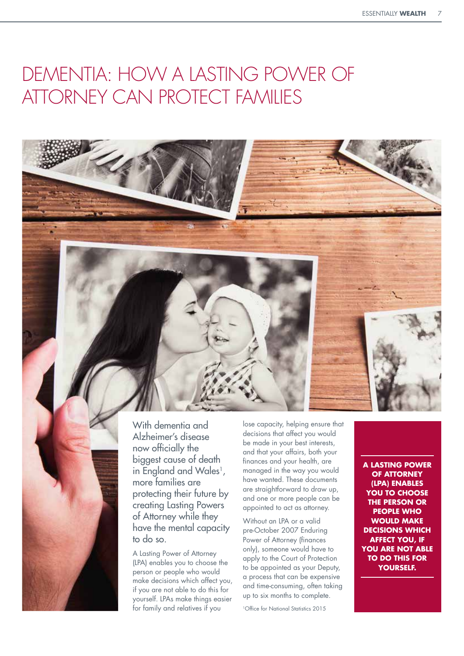# DEMENTIA: HOW A LASTING POWER OF ATTORNEY CAN PROTECT FAMILIES





With dementia and Alzheimer's disease now officially the biggest cause of death in England and Wales<sup>1</sup>, more families are protecting their future by creating Lasting Powers of Attorney while they have the mental capacity to do so.

A Lasting Power of Attorney (LPA) enables you to choose the person or people who would make decisions which affect you, if you are not able to do this for yourself. LPAs make things easier for family and relatives if you

lose capacity, helping ensure that decisions that affect you would be made in your best interests, and that your affairs, both your finances and your health, are managed in the way you would have wanted. These documents are straightforward to draw up, and one or more people can be appointed to act as attorney.

Without an LPA or a valid pre-October 2007 Enduring Power of Attorney (finances only), someone would have to apply to the Court of Protection to be appointed as your Deputy, a process that can be expensive and time-consuming, often taking up to six months to complete.

1Office for National Statistics 2015

**A LASTING POWER OF ATTORNEY (LPA) ENABLES YOU TO CHOOSE THE PERSON OR PEOPLE WHO WOULD MAKE DECISIONS WHICH AFFECT YOU, IF YOU ARE NOT ABLE TO DO THIS FOR YOURSELF.**